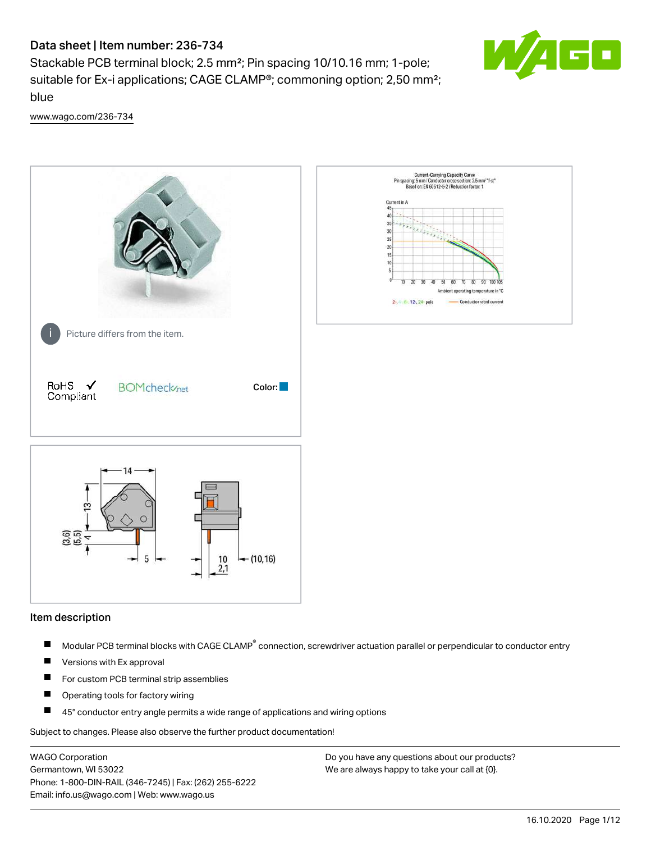# Data sheet | Item number: 236-734

Stackable PCB terminal block; 2.5 mm²; Pin spacing 10/10.16 mm; 1-pole; suitable for Ex-i applications; CAGE CLAMP®; commoning option; 2,50 mm²; blue



[www.wago.com/236-734](http://www.wago.com/236-734)



#### Item description

- Modular PCB terminal blocks with CAGE CLAMP<sup>®</sup> connection, screwdriver actuation parallel or perpendicular to conductor entry П
- $\blacksquare$ Versions with Ex approval
- П For custom PCB terminal strip assemblies
- $\blacksquare$ Operating tools for factory wiring
- П 45° conductor entry angle permits a wide range of applications and wiring options

Subject to changes. Please also observe the further product documentation!

WAGO Corporation Germantown, WI 53022 Phone: 1-800-DIN-RAIL (346-7245) | Fax: (262) 255-6222 Email: info.us@wago.com | Web: www.wago.us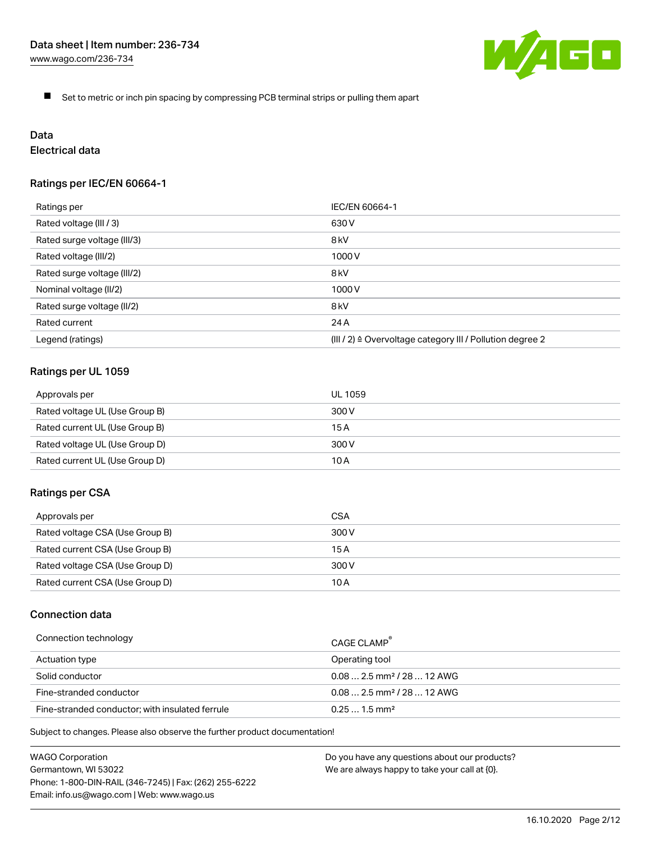

 $\blacksquare$ Set to metric or inch pin spacing by compressing PCB terminal strips or pulling them apart

# Data

# Electrical data

## Ratings per IEC/EN 60664-1

| Ratings per                 | IEC/EN 60664-1                                                        |
|-----------------------------|-----------------------------------------------------------------------|
| Rated voltage (III / 3)     | 630 V                                                                 |
| Rated surge voltage (III/3) | 8 <sub>kV</sub>                                                       |
| Rated voltage (III/2)       | 1000 V                                                                |
| Rated surge voltage (III/2) | 8 <sub>kV</sub>                                                       |
| Nominal voltage (II/2)      | 1000 V                                                                |
| Rated surge voltage (II/2)  | 8 <sub>kV</sub>                                                       |
| Rated current               | 24 A                                                                  |
| Legend (ratings)            | $(III / 2)$ $\triangle$ Overvoltage category III / Pollution degree 2 |

## Ratings per UL 1059

| Approvals per                  | UL 1059 |
|--------------------------------|---------|
| Rated voltage UL (Use Group B) | 300 V   |
| Rated current UL (Use Group B) | 15 A    |
| Rated voltage UL (Use Group D) | 300 V   |
| Rated current UL (Use Group D) | 10 A    |

#### Ratings per CSA

| Approvals per                   | CSA   |
|---------------------------------|-------|
| Rated voltage CSA (Use Group B) | 300 V |
| Rated current CSA (Use Group B) | 15 A  |
| Rated voltage CSA (Use Group D) | 300 V |
| Rated current CSA (Use Group D) | 10 A  |

## Connection data

| Connection technology                           | CAGE CLAMP                              |
|-------------------------------------------------|-----------------------------------------|
| Actuation type                                  | Operating tool                          |
| Solid conductor                                 | $0.08$ 2.5 mm <sup>2</sup> / 28  12 AWG |
| Fine-stranded conductor                         | $0.082.5$ mm <sup>2</sup> / 28  12 AWG  |
| Fine-stranded conductor; with insulated ferrule | $0.251.5$ mm <sup>2</sup>               |

Subject to changes. Please also observe the further product documentation!

WAGO Corporation Germantown, WI 53022 Phone: 1-800-DIN-RAIL (346-7245) | Fax: (262) 255-6222 Email: info.us@wago.com | Web: www.wago.us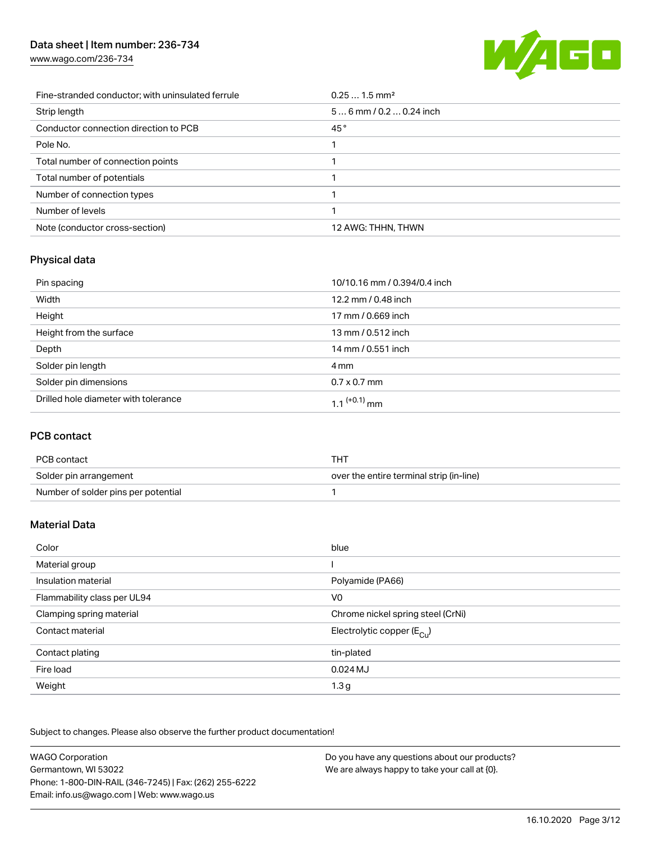## Data sheet | Item number: 236-734

[www.wago.com/236-734](http://www.wago.com/236-734)



| Fine-stranded conductor; with uninsulated ferrule | $0.251.5$ mm <sup>2</sup> |
|---------------------------------------------------|---------------------------|
| Strip length                                      | $56$ mm / 0.2  0.24 inch  |
| Conductor connection direction to PCB             | 45°                       |
| Pole No.                                          |                           |
| Total number of connection points                 |                           |
| Total number of potentials                        |                           |
| Number of connection types                        |                           |
| Number of levels                                  |                           |
| Note (conductor cross-section)                    | 12 AWG: THHN, THWN        |

## Physical data

| Pin spacing                          | 10/10.16 mm / 0.394/0.4 inch |
|--------------------------------------|------------------------------|
| Width                                | 12.2 mm / 0.48 inch          |
| Height                               | 17 mm / 0.669 inch           |
| Height from the surface              | 13 mm / 0.512 inch           |
| Depth                                | 14 mm / 0.551 inch           |
| Solder pin length                    | 4 mm                         |
| Solder pin dimensions                | $0.7 \times 0.7$ mm          |
| Drilled hole diameter with tolerance | 1.1 <sup>(+0.1)</sup> mm     |

## PCB contact

| PCB contact                         | тнт                                      |
|-------------------------------------|------------------------------------------|
| Solder pin arrangement              | over the entire terminal strip (in-line) |
| Number of solder pins per potential |                                          |

## Material Data

| Color                       | blue                                  |
|-----------------------------|---------------------------------------|
| Material group              |                                       |
| Insulation material         | Polyamide (PA66)                      |
| Flammability class per UL94 | V <sub>0</sub>                        |
| Clamping spring material    | Chrome nickel spring steel (CrNi)     |
| Contact material            | Electrolytic copper $(E_{\text{Cl}})$ |
| Contact plating             | tin-plated                            |
| Fire load                   | $0.024$ MJ                            |
| Weight                      | 1.3 <sub>g</sub>                      |

Subject to changes. Please also observe the further product documentation!

| <b>WAGO Corporation</b>                                | Do you have any questions about our products? |
|--------------------------------------------------------|-----------------------------------------------|
| Germantown, WI 53022                                   | We are always happy to take your call at {0}. |
| Phone: 1-800-DIN-RAIL (346-7245)   Fax: (262) 255-6222 |                                               |
| Email: info.us@wago.com   Web: www.wago.us             |                                               |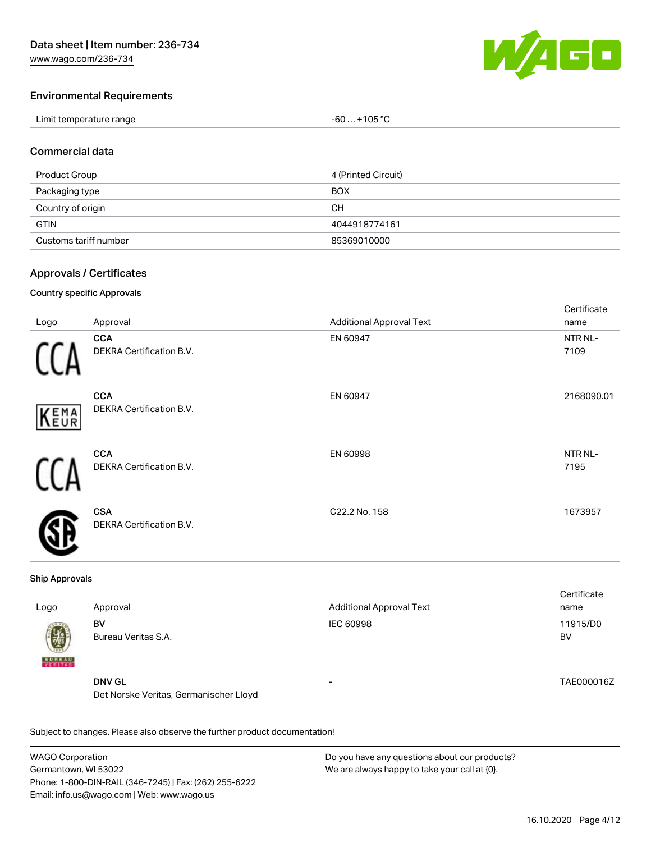

Cortificato

## Environmental Requirements

| Limit temperature range | $+105 °C$<br>-60 |
|-------------------------|------------------|
|-------------------------|------------------|

#### Commercial data

| Product Group         | 4 (Printed Circuit) |
|-----------------------|---------------------|
| Packaging type        | BOX                 |
| Country of origin     | CН                  |
| <b>GTIN</b>           | 4044918774161       |
| Customs tariff number | 85369010000         |

#### Approvals / Certificates

#### Country specific Approvals

|      |                          |                                 | <b>OUT LITTUATE</b> |
|------|--------------------------|---------------------------------|---------------------|
| Logo | Approval                 | <b>Additional Approval Text</b> | name                |
|      | <b>CCA</b>               | EN 60947                        | NTR NL-             |
|      | DEKRA Certification B.V. |                                 | 7109                |
|      | <b>CCA</b>               | EN 60947                        | 2168090.01          |
| KEMA | DEKRA Certification B.V. |                                 |                     |
|      | <b>CCA</b>               | EN 60998                        | NTR NL-             |
|      | DEKRA Certification B.V. |                                 | 7195                |
|      | <b>CSA</b>               | C22.2 No. 158                   | 1673957             |
|      | DEKRA Certification B.V. |                                 |                     |

#### Ship Approvals

| Logo               | Approval                               | <b>Additional Approval Text</b> | Certificate<br>name |
|--------------------|----------------------------------------|---------------------------------|---------------------|
| Ø<br><b>BUREAU</b> | BV<br>Bureau Veritas S.A.              | IEC 60998                       | 11915/D0<br>BV      |
|                    | <b>DNV GL</b>                          | -                               | TAE000016Z          |
|                    | Det Norske Veritas, Germanischer Lloyd |                                 |                     |

Subject to changes. Please also observe the further product documentation!

WAGO Corporation Germantown, WI 53022 Phone: 1-800-DIN-RAIL (346-7245) | Fax: (262) 255-6222 Email: info.us@wago.com | Web: www.wago.us Do you have any questions about our products? We are always happy to take your call at {0}.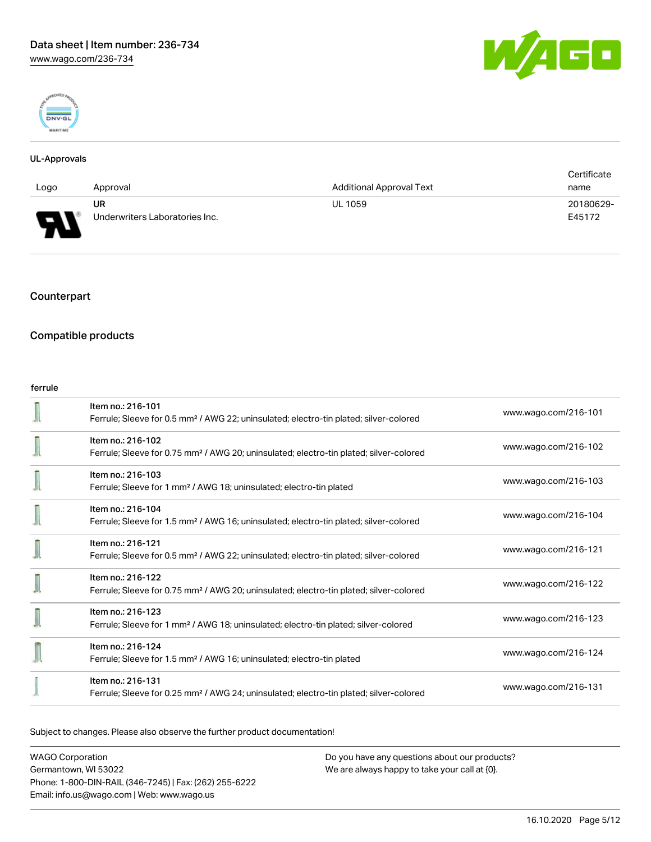



#### UL-Approvals

|          |                                |                          | Certificate |
|----------|--------------------------------|--------------------------|-------------|
| Logo     | Approval                       | Additional Approval Text | name        |
|          | UR                             | <b>UL 1059</b>           | 20180629-   |
| Б<br>. . | Underwriters Laboratories Inc. |                          | E45172      |

## **Counterpart**

## Compatible products

#### ferrule

| Item no.: 216-101<br>Ferrule; Sleeve for 0.5 mm <sup>2</sup> / AWG 22; uninsulated; electro-tin plated; silver-colored  | www.wago.com/216-101 |
|-------------------------------------------------------------------------------------------------------------------------|----------------------|
| Item no.: 216-102<br>Ferrule; Sleeve for 0.75 mm <sup>2</sup> / AWG 20; uninsulated; electro-tin plated; silver-colored | www.wago.com/216-102 |
| Item no.: 216-103<br>Ferrule; Sleeve for 1 mm <sup>2</sup> / AWG 18; uninsulated; electro-tin plated                    | www.wago.com/216-103 |
| Item no.: 216-104<br>Ferrule; Sleeve for 1.5 mm <sup>2</sup> / AWG 16; uninsulated; electro-tin plated; silver-colored  | www.wago.com/216-104 |
| Item no.: 216-121<br>Ferrule; Sleeve for 0.5 mm <sup>2</sup> / AWG 22; uninsulated; electro-tin plated; silver-colored  | www.wago.com/216-121 |
| Item no.: 216-122<br>Ferrule; Sleeve for 0.75 mm <sup>2</sup> / AWG 20; uninsulated; electro-tin plated; silver-colored | www.wago.com/216-122 |
| Item no.: 216-123<br>Ferrule; Sleeve for 1 mm <sup>2</sup> / AWG 18; uninsulated; electro-tin plated; silver-colored    | www.wago.com/216-123 |
| Item no.: 216-124<br>Ferrule; Sleeve for 1.5 mm <sup>2</sup> / AWG 16; uninsulated; electro-tin plated                  | www.wago.com/216-124 |
| Item no.: 216-131<br>Ferrule; Sleeve for 0.25 mm <sup>2</sup> / AWG 24; uninsulated; electro-tin plated; silver-colored | www.wago.com/216-131 |

Subject to changes. Please also observe the further product documentation!

WAGO Corporation Germantown, WI 53022 Phone: 1-800-DIN-RAIL (346-7245) | Fax: (262) 255-6222 Email: info.us@wago.com | Web: www.wago.us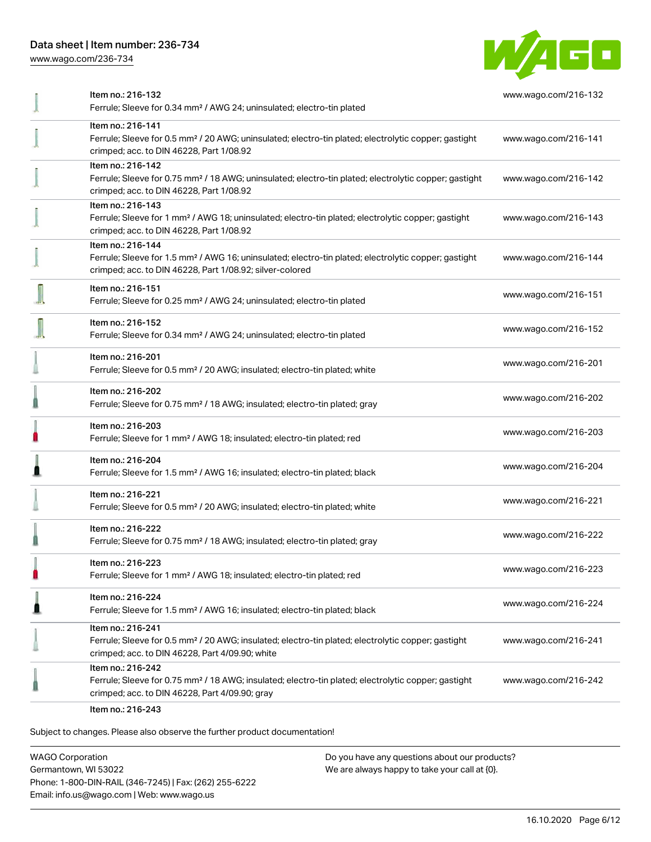## Data sheet | Item number: 236-734

[www.wago.com/236-734](http://www.wago.com/236-734)



| Item no.: 216-132<br>Ferrule; Sleeve for 0.34 mm <sup>2</sup> / AWG 24; uninsulated; electro-tin plated                                                                                           | www.wago.com/216-132 |
|---------------------------------------------------------------------------------------------------------------------------------------------------------------------------------------------------|----------------------|
| Item no.: 216-141<br>Ferrule; Sleeve for 0.5 mm <sup>2</sup> / 20 AWG; uninsulated; electro-tin plated; electrolytic copper; gastight<br>crimped; acc. to DIN 46228, Part 1/08.92                 | www.wago.com/216-141 |
| Item no.: 216-142<br>Ferrule; Sleeve for 0.75 mm <sup>2</sup> / 18 AWG; uninsulated; electro-tin plated; electrolytic copper; gastight<br>crimped; acc. to DIN 46228, Part 1/08.92                | www.wago.com/216-142 |
| Item no.: 216-143<br>Ferrule; Sleeve for 1 mm <sup>2</sup> / AWG 18; uninsulated; electro-tin plated; electrolytic copper; gastight<br>crimped; acc. to DIN 46228, Part 1/08.92                   | www.wago.com/216-143 |
| Item no.: 216-144<br>Ferrule; Sleeve for 1.5 mm <sup>2</sup> / AWG 16; uninsulated; electro-tin plated; electrolytic copper; gastight<br>crimped; acc. to DIN 46228, Part 1/08.92; silver-colored | www.wago.com/216-144 |
| Item no.: 216-151<br>Ferrule; Sleeve for 0.25 mm <sup>2</sup> / AWG 24; uninsulated; electro-tin plated                                                                                           | www.wago.com/216-151 |
| Item no.: 216-152<br>Ferrule; Sleeve for 0.34 mm <sup>2</sup> / AWG 24; uninsulated; electro-tin plated                                                                                           | www.wago.com/216-152 |
| Item no.: 216-201<br>Ferrule; Sleeve for 0.5 mm <sup>2</sup> / 20 AWG; insulated; electro-tin plated; white                                                                                       | www.wago.com/216-201 |
| Item no.: 216-202<br>Ferrule; Sleeve for 0.75 mm <sup>2</sup> / 18 AWG; insulated; electro-tin plated; gray                                                                                       | www.wago.com/216-202 |
| Item no.: 216-203<br>Ferrule; Sleeve for 1 mm <sup>2</sup> / AWG 18; insulated; electro-tin plated; red                                                                                           | www.wago.com/216-203 |
| Item no.: 216-204<br>Ferrule; Sleeve for 1.5 mm <sup>2</sup> / AWG 16; insulated; electro-tin plated; black                                                                                       | www.wago.com/216-204 |
| Item no.: 216-221<br>Ferrule; Sleeve for 0.5 mm <sup>2</sup> / 20 AWG; insulated; electro-tin plated; white                                                                                       | www.wago.com/216-221 |
| Item no.: 216-222<br>Ferrule; Sleeve for 0.75 mm <sup>2</sup> / 18 AWG; insulated; electro-tin plated; gray                                                                                       | www.wago.com/216-222 |
| Item no.: 216-223<br>Ferrule; Sleeve for 1 mm <sup>2</sup> / AWG 18; insulated; electro-tin plated; red                                                                                           | www.wago.com/216-223 |
| Item no.: 216-224<br>Ferrule; Sleeve for 1.5 mm <sup>2</sup> / AWG 16; insulated; electro-tin plated; black                                                                                       | www.wago.com/216-224 |
| Item no.: 216-241<br>Ferrule; Sleeve for 0.5 mm <sup>2</sup> / 20 AWG; insulated; electro-tin plated; electrolytic copper; gastight<br>crimped; acc. to DIN 46228, Part 4/09.90; white            | www.wago.com/216-241 |
| Item no.: 216-242<br>Ferrule; Sleeve for 0.75 mm <sup>2</sup> / 18 AWG; insulated; electro-tin plated; electrolytic copper; gastight<br>crimped; acc. to DIN 46228, Part 4/09.90; gray            | www.wago.com/216-242 |
|                                                                                                                                                                                                   |                      |

Item no.: 216-243

Subject to changes. Please also observe the further product documentation!

WAGO Corporation Germantown, WI 53022 Phone: 1-800-DIN-RAIL (346-7245) | Fax: (262) 255-6222 Email: info.us@wago.com | Web: www.wago.us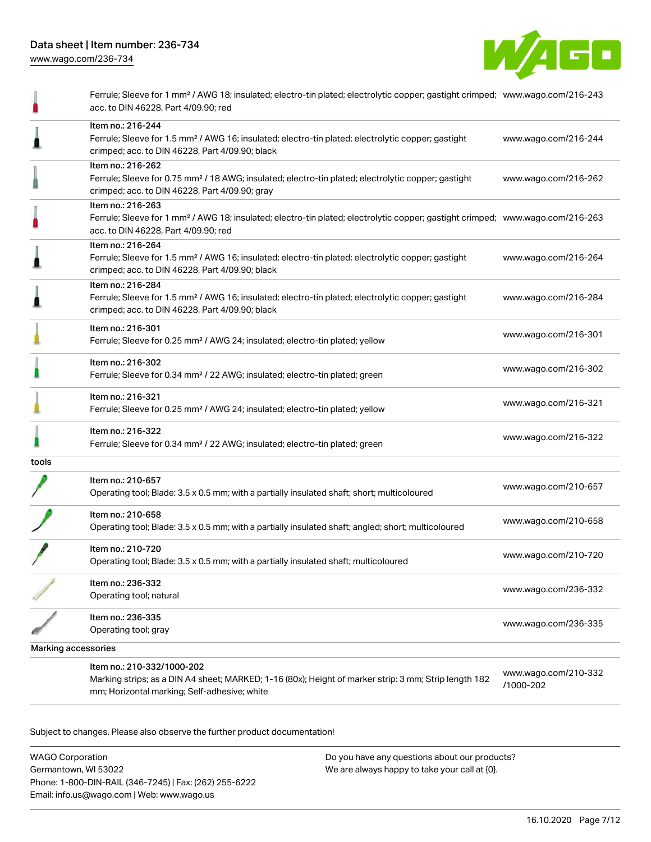

|                     | Ferrule; Sleeve for 1 mm <sup>2</sup> / AWG 18; insulated; electro-tin plated; electrolytic copper; gastight crimped; www.wago.com/216-243<br>acc. to DIN 46228, Part 4/09.90; red                      |                                   |
|---------------------|---------------------------------------------------------------------------------------------------------------------------------------------------------------------------------------------------------|-----------------------------------|
|                     | Item no.: 216-244<br>Ferrule; Sleeve for 1.5 mm <sup>2</sup> / AWG 16; insulated; electro-tin plated; electrolytic copper; gastight<br>crimped; acc. to DIN 46228, Part 4/09.90; black                  | www.wago.com/216-244              |
|                     | Item no.: 216-262<br>Ferrule; Sleeve for 0.75 mm <sup>2</sup> / 18 AWG; insulated; electro-tin plated; electrolytic copper; gastight<br>crimped; acc. to DIN 46228, Part 4/09.90; gray                  | www.wago.com/216-262              |
|                     | Item no.: 216-263<br>Ferrule; Sleeve for 1 mm <sup>2</sup> / AWG 18; insulated; electro-tin plated; electrolytic copper; gastight crimped; www.wago.com/216-263<br>acc. to DIN 46228, Part 4/09.90; red |                                   |
|                     | Item no.: 216-264<br>Ferrule; Sleeve for 1.5 mm <sup>2</sup> / AWG 16; insulated; electro-tin plated; electrolytic copper; gastight<br>crimped; acc. to DIN 46228, Part 4/09.90; black                  | www.wago.com/216-264              |
|                     | Item no.: 216-284<br>Ferrule; Sleeve for 1.5 mm <sup>2</sup> / AWG 16; insulated; electro-tin plated; electrolytic copper; gastight<br>crimped; acc. to DIN 46228, Part 4/09.90; black                  | www.wago.com/216-284              |
|                     | Item no.: 216-301<br>Ferrule; Sleeve for 0.25 mm <sup>2</sup> / AWG 24; insulated; electro-tin plated; yellow                                                                                           | www.wago.com/216-301              |
|                     | Item no.: 216-302<br>Ferrule; Sleeve for 0.34 mm <sup>2</sup> / 22 AWG; insulated; electro-tin plated; green                                                                                            | www.wago.com/216-302              |
|                     | Item no.: 216-321<br>Ferrule; Sleeve for 0.25 mm <sup>2</sup> / AWG 24; insulated; electro-tin plated; yellow                                                                                           | www.wago.com/216-321              |
|                     | Item no.: 216-322<br>Ferrule; Sleeve for 0.34 mm <sup>2</sup> / 22 AWG; insulated; electro-tin plated; green                                                                                            | www.wago.com/216-322              |
| tools               |                                                                                                                                                                                                         |                                   |
|                     | Item no.: 210-657<br>Operating tool; Blade: 3.5 x 0.5 mm; with a partially insulated shaft; short; multicoloured                                                                                        | www.wago.com/210-657              |
|                     | Item no.: 210-658<br>Operating tool; Blade: 3.5 x 0.5 mm; with a partially insulated shaft; angled; short; multicoloured                                                                                | www.wago.com/210-658              |
|                     | Item no.: 210-720<br>Operating tool; Blade: 3.5 x 0.5 mm; with a partially insulated shaft; multicoloured                                                                                               | www.wago.com/210-720              |
|                     | Item no.: 236-332<br>Operating tool; natural                                                                                                                                                            | www.wago.com/236-332              |
|                     | Item no.: 236-335<br>Operating tool; gray                                                                                                                                                               | www.wago.com/236-335              |
| Marking accessories |                                                                                                                                                                                                         |                                   |
|                     | Item no.: 210-332/1000-202<br>Marking strips; as a DIN A4 sheet; MARKED; 1-16 (80x); Height of marker strip: 3 mm; Strip length 182<br>mm; Horizontal marking; Self-adhesive; white                     | www.wago.com/210-332<br>/1000-202 |

Subject to changes. Please also observe the further product documentation!

WAGO Corporation Germantown, WI 53022 Phone: 1-800-DIN-RAIL (346-7245) | Fax: (262) 255-6222 Email: info.us@wago.com | Web: www.wago.us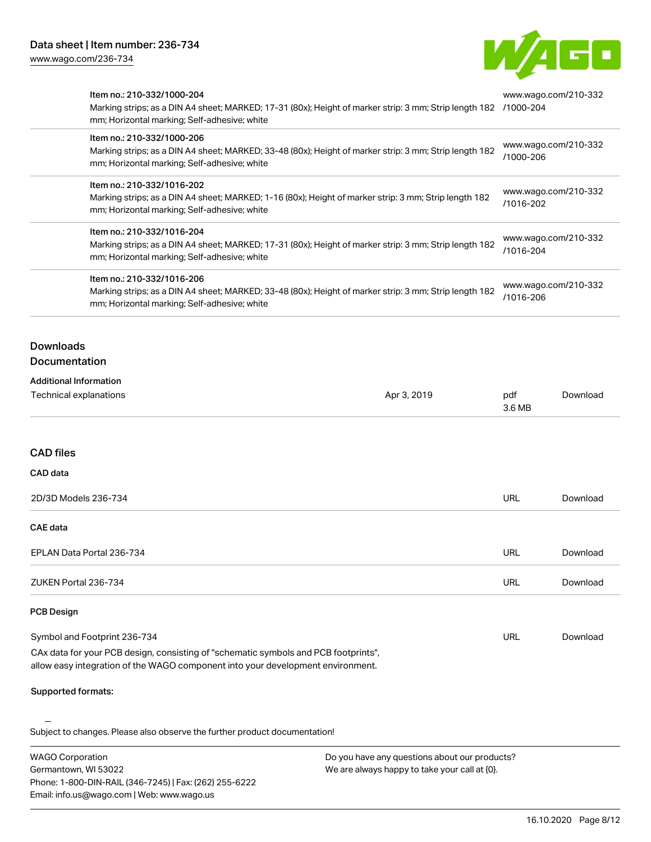Email: info.us@wago.com | Web: www.wago.us



| <b>WAGO Corporation</b><br>Do you have any questions about our products?<br>Germantown, WI 53022<br>We are always happy to take your call at {0}.<br>Phone: 1-800-DIN-RAIL (346-7245)   Fax: (262) 255-6222                                                                                                                                                                 |                                                                                                        |                                                                        |                                   |                                                                                                                                                                                                |
|-----------------------------------------------------------------------------------------------------------------------------------------------------------------------------------------------------------------------------------------------------------------------------------------------------------------------------------------------------------------------------|--------------------------------------------------------------------------------------------------------|------------------------------------------------------------------------|-----------------------------------|------------------------------------------------------------------------------------------------------------------------------------------------------------------------------------------------|
| Subject to changes. Please also observe the further product documentation!                                                                                                                                                                                                                                                                                                  |                                                                                                        |                                                                        |                                   |                                                                                                                                                                                                |
| Supported formats:                                                                                                                                                                                                                                                                                                                                                          |                                                                                                        |                                                                        |                                   |                                                                                                                                                                                                |
| CAx data for your PCB design, consisting of "schematic symbols and PCB footprints",<br>allow easy integration of the WAGO component into your development environment.                                                                                                                                                                                                      |                                                                                                        |                                                                        |                                   |                                                                                                                                                                                                |
| Symbol and Footprint 236-734                                                                                                                                                                                                                                                                                                                                                |                                                                                                        | <b>URL</b>                                                             | Download                          |                                                                                                                                                                                                |
| <b>PCB Design</b>                                                                                                                                                                                                                                                                                                                                                           |                                                                                                        |                                                                        |                                   |                                                                                                                                                                                                |
| ZUKEN Portal 236-734                                                                                                                                                                                                                                                                                                                                                        |                                                                                                        | <b>URL</b>                                                             | Download                          |                                                                                                                                                                                                |
| EPLAN Data Portal 236-734                                                                                                                                                                                                                                                                                                                                                   |                                                                                                        | URL                                                                    | Download                          |                                                                                                                                                                                                |
| <b>CAE</b> data                                                                                                                                                                                                                                                                                                                                                             |                                                                                                        |                                                                        |                                   |                                                                                                                                                                                                |
| 2D/3D Models 236-734                                                                                                                                                                                                                                                                                                                                                        |                                                                                                        | URL                                                                    | Download                          |                                                                                                                                                                                                |
| CAD data                                                                                                                                                                                                                                                                                                                                                                    |                                                                                                        |                                                                        |                                   |                                                                                                                                                                                                |
| <b>CAD files</b>                                                                                                                                                                                                                                                                                                                                                            |                                                                                                        |                                                                        |                                   |                                                                                                                                                                                                |
| <b>Technical explanations</b>                                                                                                                                                                                                                                                                                                                                               | Apr 3, 2019                                                                                            | pdf<br>3.6 MB                                                          | Download                          |                                                                                                                                                                                                |
| <b>Additional Information</b>                                                                                                                                                                                                                                                                                                                                               |                                                                                                        |                                                                        |                                   |                                                                                                                                                                                                |
| <b>Downloads</b><br>Documentation                                                                                                                                                                                                                                                                                                                                           |                                                                                                        |                                                                        |                                   |                                                                                                                                                                                                |
| Marking strips; as a DIN A4 sheet; MARKED; 33-48 (80x); Height of marker strip: 3 mm; Strip length 182<br>mm; Horizontal marking; Self-adhesive; white                                                                                                                                                                                                                      |                                                                                                        | www.wago.com/210-332<br>/1016-206                                      |                                   |                                                                                                                                                                                                |
| mm; Horizontal marking; Self-adhesive; white<br>Item no.: 210-332/1016-206                                                                                                                                                                                                                                                                                                  | Marking strips; as a DIN A4 sheet; MARKED; 17-31 (80x); Height of marker strip: 3 mm; Strip length 182 |                                                                        | www.wago.com/210-332<br>/1016-204 |                                                                                                                                                                                                |
| Item no.: 210-332/1016-204                                                                                                                                                                                                                                                                                                                                                  |                                                                                                        |                                                                        |                                   |                                                                                                                                                                                                |
| Item no.: 210-332/1000-206<br>Marking strips; as a DIN A4 sheet; MARKED; 33-48 (80x); Height of marker strip: 3 mm; Strip length 182<br>mm; Horizontal marking; Self-adhesive; white<br>Item no.: 210-332/1016-202<br>Marking strips; as a DIN A4 sheet; MARKED; 1-16 (80x); Height of marker strip: 3 mm; Strip length 182<br>mm; Horizontal marking; Self-adhesive; white |                                                                                                        | www.wago.com/210-332<br>/1000-206<br>www.wago.com/210-332<br>/1016-202 |                                   |                                                                                                                                                                                                |
|                                                                                                                                                                                                                                                                                                                                                                             |                                                                                                        |                                                                        |                                   | Item no.: 210-332/1000-204<br>Marking strips; as a DIN A4 sheet; MARKED; 17-31 (80x); Height of marker strip: 3 mm; Strip length 182 /1000-204<br>mm; Horizontal marking; Self-adhesive; white |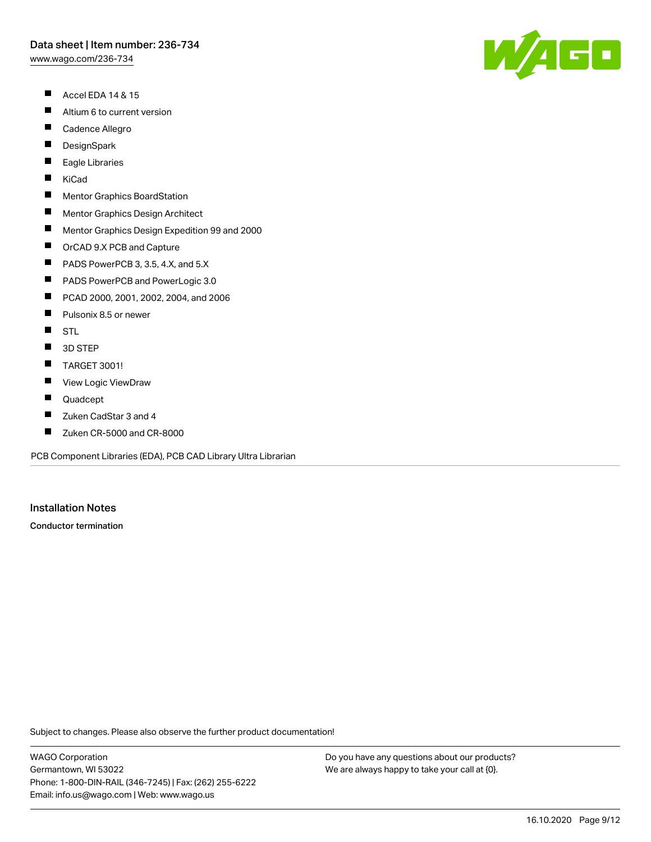[www.wago.com/236-734](http://www.wago.com/236-734)

- $\blacksquare$ Accel EDA 14 & 15
- $\blacksquare$ Altium 6 to current version
- $\blacksquare$ Cadence Allegro
- $\blacksquare$ **DesignSpark**
- П Eagle Libraries
- $\blacksquare$ KiCad
- $\blacksquare$ Mentor Graphics BoardStation
- $\blacksquare$ Mentor Graphics Design Architect
- $\blacksquare$ Mentor Graphics Design Expedition 99 and 2000
- $\blacksquare$ OrCAD 9.X PCB and Capture
- $\blacksquare$ PADS PowerPCB 3, 3.5, 4.X, and 5.X
- $\blacksquare$ PADS PowerPCB and PowerLogic 3.0
- $\blacksquare$ PCAD 2000, 2001, 2002, 2004, and 2006
- $\blacksquare$ Pulsonix 8.5 or newer
- $\blacksquare$ **STL**
- $\blacksquare$ 3D STEP
- $\blacksquare$ TARGET 3001!
- $\blacksquare$ View Logic ViewDraw
- $\blacksquare$ Quadcept
- П Zuken CadStar 3 and 4
- $\blacksquare$ Zuken CR-5000 and CR-8000

PCB Component Libraries (EDA), PCB CAD Library Ultra Librarian

## Installation Notes

Conductor termination

Subject to changes. Please also observe the further product documentation!

WAGO Corporation Germantown, WI 53022 Phone: 1-800-DIN-RAIL (346-7245) | Fax: (262) 255-6222 Email: info.us@wago.com | Web: www.wago.us

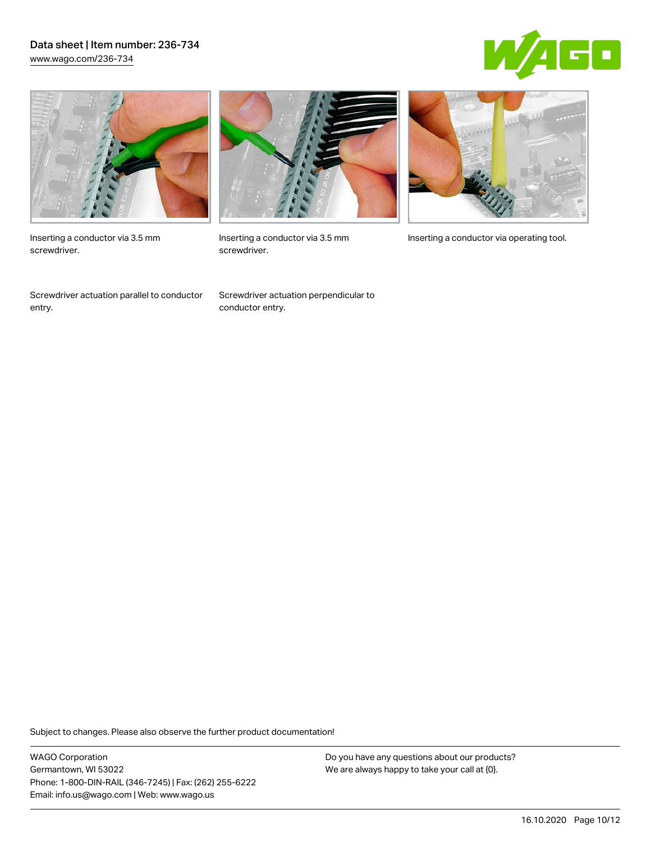## Data sheet | Item number: 236-734 [www.wago.com/236-734](http://www.wago.com/236-734)





Inserting a conductor via 3.5 mm screwdriver.

Screwdriver actuation parallel to conductor entry.



screwdriver.

Screwdriver actuation perpendicular to conductor entry.



Inserting a conductor via 3.5 mm Inserting a conductor via operating tool.

Subject to changes. Please also observe the further product documentation!

WAGO Corporation Germantown, WI 53022 Phone: 1-800-DIN-RAIL (346-7245) | Fax: (262) 255-6222 Email: info.us@wago.com | Web: www.wago.us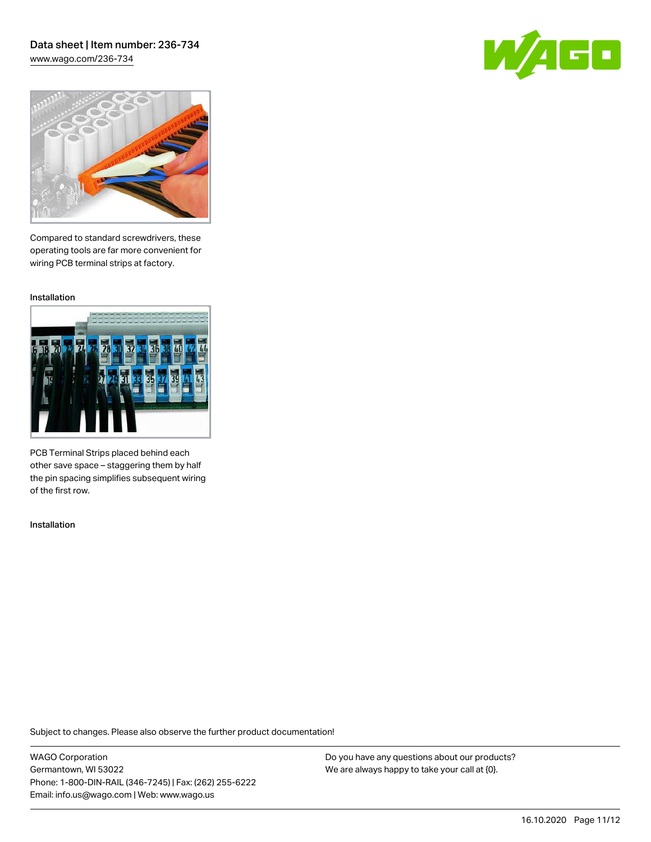## Data sheet | Item number: 236-734 [www.wago.com/236-734](http://www.wago.com/236-734)

60



Compared to standard screwdrivers, these operating tools are far more convenient for wiring PCB terminal strips at factory.

Installation



PCB Terminal Strips placed behind each other save space – staggering them by half the pin spacing simplifies subsequent wiring of the first row.

Installation

Subject to changes. Please also observe the further product documentation!

WAGO Corporation Germantown, WI 53022 Phone: 1-800-DIN-RAIL (346-7245) | Fax: (262) 255-6222 Email: info.us@wago.com | Web: www.wago.us